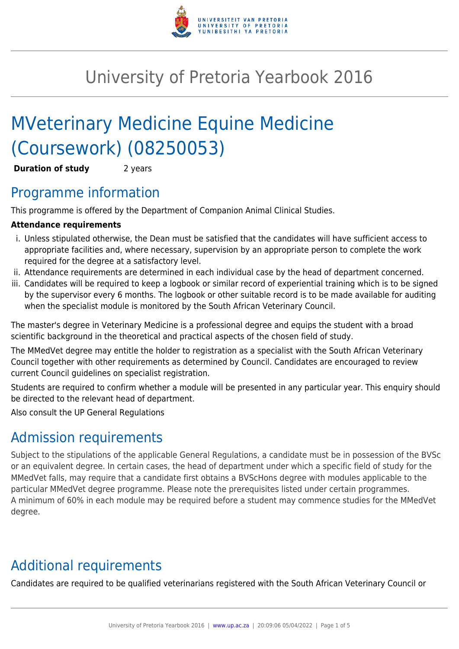

# University of Pretoria Yearbook 2016

# MVeterinary Medicine Equine Medicine (Coursework) (08250053)

**Duration of study** 2 years

### Programme information

This programme is offered by the Department of Companion Animal Clinical Studies.

#### **Attendance requirements**

- i. Unless stipulated otherwise, the Dean must be satisfied that the candidates will have sufficient access to appropriate facilities and, where necessary, supervision by an appropriate person to complete the work required for the degree at a satisfactory level.
- ii. Attendance requirements are determined in each individual case by the head of department concerned.
- iii. Candidates will be required to keep a logbook or similar record of experiential training which is to be signed by the supervisor every 6 months. The logbook or other suitable record is to be made available for auditing when the specialist module is monitored by the South African Veterinary Council.

The master's degree in Veterinary Medicine is a professional degree and equips the student with a broad scientific background in the theoretical and practical aspects of the chosen field of study.

The MMedVet degree may entitle the holder to registration as a specialist with the South African Veterinary Council together with other requirements as determined by Council. Candidates are encouraged to review current Council guidelines on specialist registration.

Students are required to confirm whether a module will be presented in any particular year. This enquiry should be directed to the relevant head of department.

Also consult the UP General Regulations

### Admission requirements

Subject to the stipulations of the applicable General Regulations, a candidate must be in possession of the BVSc or an equivalent degree. In certain cases, the head of department under which a specific field of study for the MMedVet falls, may require that a candidate first obtains a BVScHons degree with modules applicable to the particular MMedVet degree programme. Please note the prerequisites listed under certain programmes. A minimum of 60% in each module may be required before a student may commence studies for the MMedVet degree.

## Additional requirements

Candidates are required to be qualified veterinarians registered with the South African Veterinary Council or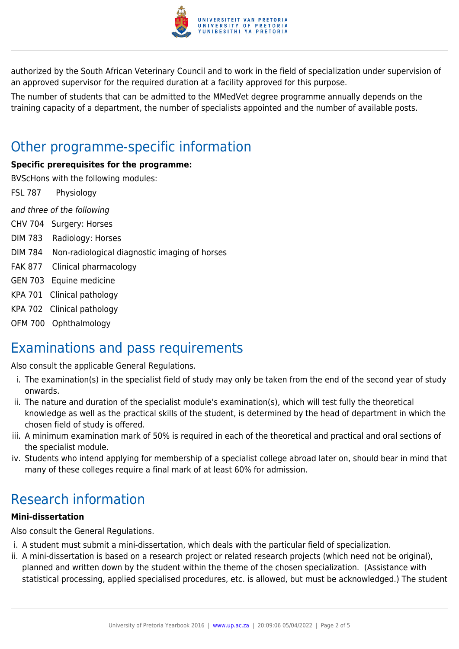

authorized by the South African Veterinary Council and to work in the field of specialization under supervision of an approved supervisor for the required duration at a facility approved for this purpose.

The number of students that can be admitted to the MMedVet degree programme annually depends on the training capacity of a department, the number of specialists appointed and the number of available posts.

### Other programme-specific information

#### **Specific prerequisites for the programme:**

BVScHons with the following modules:

FSL 787 Physiology

and three of the following

- CHV 704 Surgery: Horses
- DIM 783 Radiology: Horses
- DIM 784 Non-radiological diagnostic imaging of horses
- FAK 877 Clinical pharmacology
- GEN 703 Equine medicine
- KPA 701 Clinical pathology
- KPA 702 Clinical pathology
- OFM 700 Ophthalmology

### Examinations and pass requirements

Also consult the applicable General Regulations.

- i. The examination(s) in the specialist field of study may only be taken from the end of the second year of study onwards.
- ii. The nature and duration of the specialist module's examination(s), which will test fully the theoretical knowledge as well as the practical skills of the student, is determined by the head of department in which the chosen field of study is offered.
- iii. A minimum examination mark of 50% is required in each of the theoretical and practical and oral sections of the specialist module.
- iv. Students who intend applying for membership of a specialist college abroad later on, should bear in mind that many of these colleges require a final mark of at least 60% for admission.

## Research information

#### **Mini-dissertation**

Also consult the General Regulations.

- i. A student must submit a mini-dissertation, which deals with the particular field of specialization.
- ii. A mini-dissertation is based on a research project or related research projects (which need not be original), planned and written down by the student within the theme of the chosen specialization. (Assistance with statistical processing, applied specialised procedures, etc. is allowed, but must be acknowledged.) The student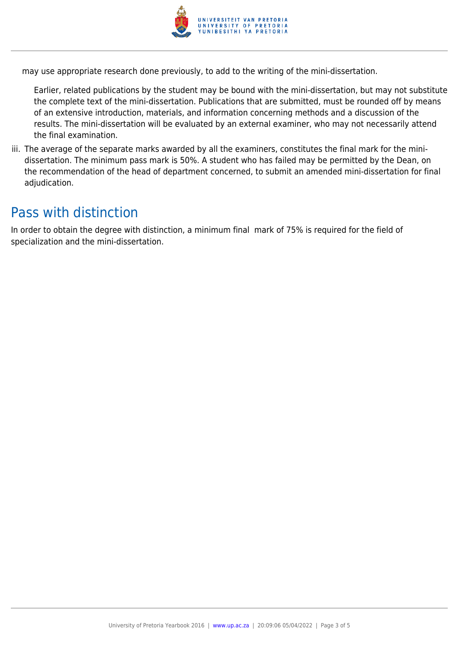

may use appropriate research done previously, to add to the writing of the mini-dissertation.

Earlier, related publications by the student may be bound with the mini-dissertation, but may not substitute the complete text of the mini-dissertation. Publications that are submitted, must be rounded off by means of an extensive introduction, materials, and information concerning methods and a discussion of the results. The mini-dissertation will be evaluated by an external examiner, who may not necessarily attend the final examination.

iii. The average of the separate marks awarded by all the examiners, constitutes the final mark for the minidissertation. The minimum pass mark is 50%. A student who has failed may be permitted by the Dean, on the recommendation of the head of department concerned, to submit an amended mini-dissertation for final adjudication.

### Pass with distinction

In order to obtain the degree with distinction, a minimum final mark of 75% is required for the field of specialization and the mini-dissertation.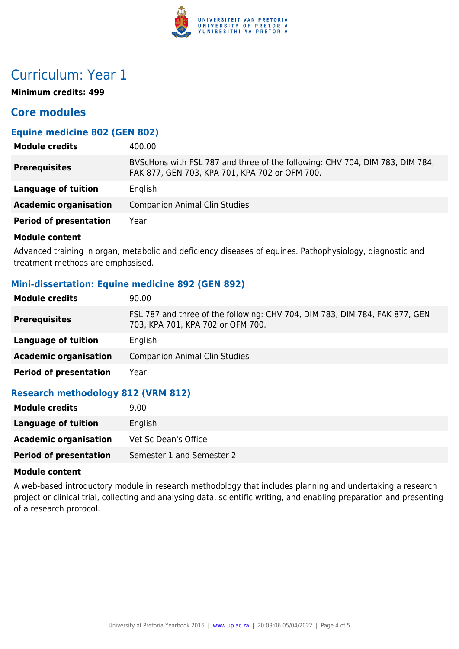

### Curriculum: Year 1

**Minimum credits: 499**

#### **Core modules**

#### **Equine medicine 802 (GEN 802)**

| <b>Module credits</b>         | 400.00                                                                                                                         |
|-------------------------------|--------------------------------------------------------------------------------------------------------------------------------|
| <b>Prerequisites</b>          | BVScHons with FSL 787 and three of the following: CHV 704, DIM 783, DIM 784,<br>FAK 877, GEN 703, KPA 701, KPA 702 or OFM 700. |
| Language of tuition           | English                                                                                                                        |
| <b>Academic organisation</b>  | <b>Companion Animal Clin Studies</b>                                                                                           |
| <b>Period of presentation</b> | Year                                                                                                                           |
|                               |                                                                                                                                |

#### **Module content**

Advanced training in organ, metabolic and deficiency diseases of equines. Pathophysiology, diagnostic and treatment methods are emphasised.

#### **Mini-dissertation: Equine medicine 892 (GEN 892)**

| <b>Module credits</b>         | 90.00                                                                                                            |
|-------------------------------|------------------------------------------------------------------------------------------------------------------|
| <b>Prerequisites</b>          | FSL 787 and three of the following: CHV 704, DIM 783, DIM 784, FAK 877, GEN<br>703, KPA 701, KPA 702 or OFM 700. |
| Language of tuition           | English                                                                                                          |
| <b>Academic organisation</b>  | Companion Animal Clin Studies                                                                                    |
| <b>Period of presentation</b> | Year                                                                                                             |

#### **Research methodology 812 (VRM 812)**

| <b>Module credits</b>         | 9.00                      |
|-------------------------------|---------------------------|
| Language of tuition           | English                   |
| <b>Academic organisation</b>  | Vet Sc Dean's Office      |
| <b>Period of presentation</b> | Semester 1 and Semester 2 |

#### **Module content**

A web-based introductory module in research methodology that includes planning and undertaking a research project or clinical trial, collecting and analysing data, scientific writing, and enabling preparation and presenting of a research protocol.